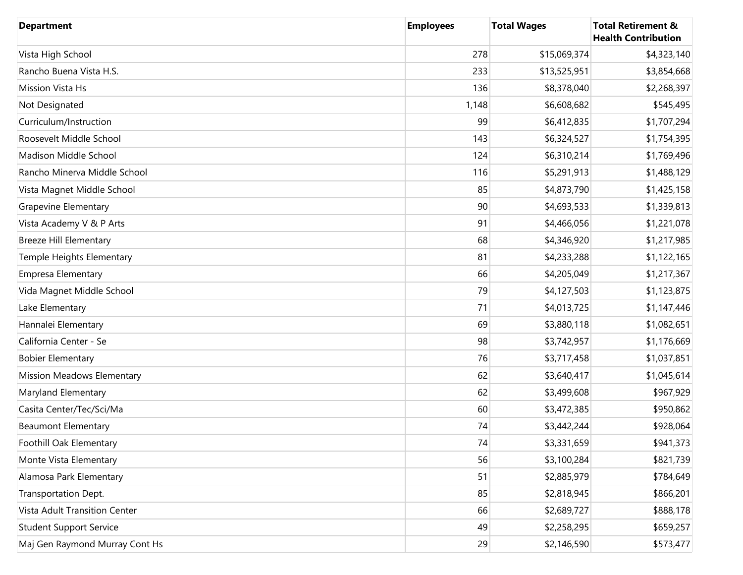| <b>Department</b>              | <b>Employees</b> | <b>Total Wages</b> | <b>Total Retirement &amp;</b><br><b>Health Contribution</b> |
|--------------------------------|------------------|--------------------|-------------------------------------------------------------|
| Vista High School              | 278              | \$15,069,374       | \$4,323,140                                                 |
| Rancho Buena Vista H.S.        | 233              | \$13,525,951       | \$3,854,668                                                 |
| Mission Vista Hs               | 136              | \$8,378,040        | \$2,268,397                                                 |
| Not Designated                 | 1,148            | \$6,608,682        | \$545,495                                                   |
| Curriculum/Instruction         | 99               | \$6,412,835        | \$1,707,294                                                 |
| Roosevelt Middle School        | 143              | \$6,324,527        | \$1,754,395                                                 |
| Madison Middle School          | 124              | \$6,310,214        | \$1,769,496                                                 |
| Rancho Minerva Middle School   | 116              | \$5,291,913        | \$1,488,129                                                 |
| Vista Magnet Middle School     | 85               | \$4,873,790        | \$1,425,158                                                 |
| <b>Grapevine Elementary</b>    | 90               | \$4,693,533        | \$1,339,813                                                 |
| Vista Academy V & P Arts       | 91               | \$4,466,056        | \$1,221,078                                                 |
| <b>Breeze Hill Elementary</b>  | 68               | \$4,346,920        | \$1,217,985                                                 |
| Temple Heights Elementary      | 81               | \$4,233,288        | \$1,122,165                                                 |
| <b>Empresa Elementary</b>      | 66               | \$4,205,049        | \$1,217,367                                                 |
| Vida Magnet Middle School      | 79               | \$4,127,503        | \$1,123,875                                                 |
| Lake Elementary                | 71               | \$4,013,725        | \$1,147,446                                                 |
| Hannalei Elementary            | 69               | \$3,880,118        | \$1,082,651                                                 |
| California Center - Se         | 98               | \$3,742,957        | \$1,176,669                                                 |
| <b>Bobier Elementary</b>       | 76               | \$3,717,458        | \$1,037,851                                                 |
| Mission Meadows Elementary     | 62               | \$3,640,417        | \$1,045,614                                                 |
| Maryland Elementary            | 62               | \$3,499,608        | \$967,929                                                   |
| Casita Center/Tec/Sci/Ma       | 60               | \$3,472,385        | \$950,862                                                   |
| <b>Beaumont Elementary</b>     | 74               | \$3,442,244        | \$928,064                                                   |
| Foothill Oak Elementary        | 74               | \$3,331,659        | \$941,373                                                   |
| Monte Vista Elementary         | 56               | \$3,100,284        | \$821,739                                                   |
| Alamosa Park Elementary        | 51               | \$2,885,979        | \$784,649                                                   |
| Transportation Dept.           | 85               | \$2,818,945        | \$866,201                                                   |
| Vista Adult Transition Center  | 66               | \$2,689,727        | \$888,178                                                   |
| <b>Student Support Service</b> | 49               | \$2,258,295        | \$659,257                                                   |
| Maj Gen Raymond Murray Cont Hs | 29               | \$2,146,590        | \$573,477                                                   |